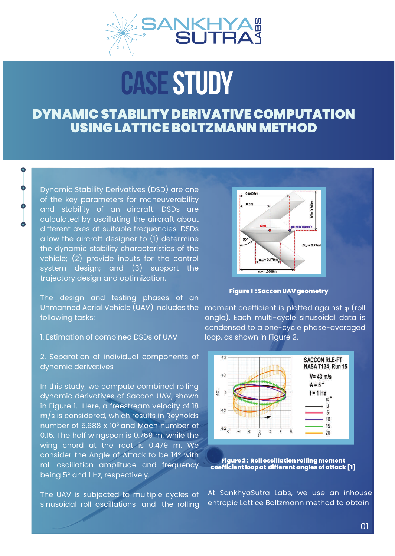

# CASE STUDY

## DYNAMIC STABILITY DERIVATIVE COMPUTATION USING LATTICE BOLTZMANN METHOD

Dynamic Stability Derivatives (DSD) are one of the key parameters for maneuverability and stability of an aircraft. DSDs are calculated by oscillating the aircraft about different axes at suitable frequencies. DSDs allow the aircraft designer to (1) determine the dynamic stability characteristics of the vehicle; (2) provide inputs for the control system design; and (3) support the trajectory design and optimization.

 $\bullet$ 

The design and testing phases of an Unmanned Aerial Vehicle (UAV) includes the following tasks:

#### 1. Estimation of combined DSDs of UAV

2. Separation of individual components of dynamic derivatives

In this study, we compute combined rolling dynamic derivatives of Saccon UAV, shown in Figure 1. Here, a freestream velocity of 18 m/s is considered, which results in Reynolds number of  $5.688 \times 10^5$  and Mach number of 0.15. The half wingspan is 0.769 m, while the wing chord at the root is 0.479 m. We consider the Angle of Attack to be 14° with roll oscillation amplitude and frequency being 5° and 1 Hz, respectively.

The UAV is subjected to multiple cycles of sinusoidal roll oscillations and the rolling



Figure 1 : Saccon UAV geometry

moment coefficient is plotted against φ (roll angle). Each multi-cycle sinusoidal data is condensed to a one-cycle phase-averaged loop, as shown in Figure 2.



Figure 2 : Roll oscillation rolling moment coefficient loop at different angles of attack [1]

At SankhyaSutra Labs, we use an inhouse entropic Lattice Boltzmann method to obtain